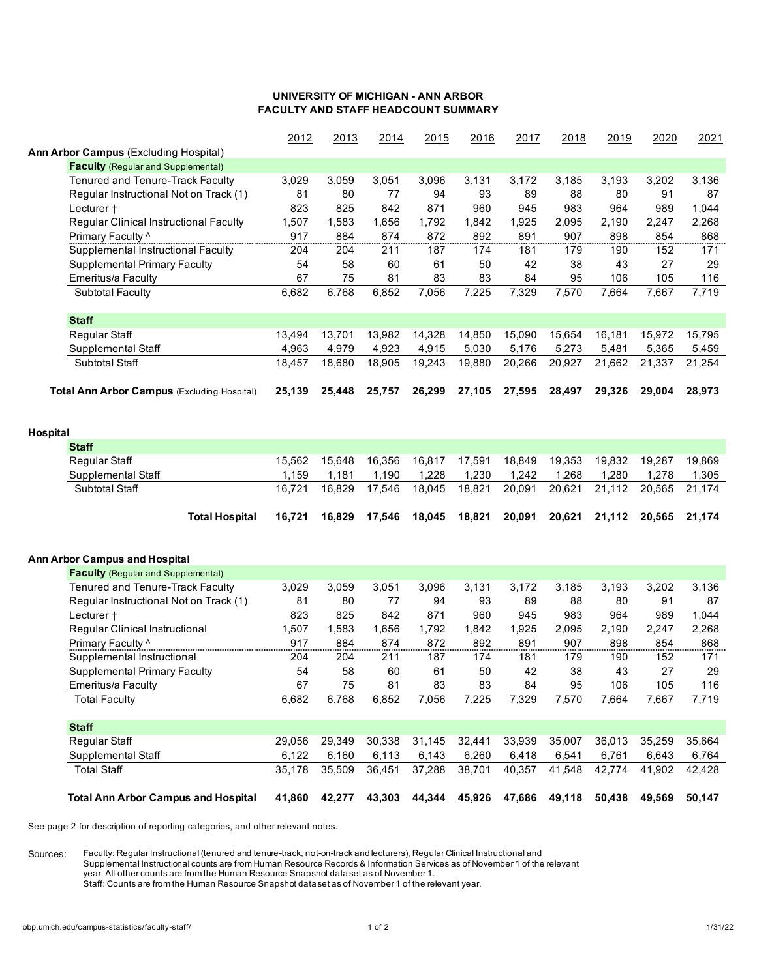## **UNIVERSITY OF MICHIGAN - ANN ARBOR FACULTY AND STAFF HEADCOUNT SUMMARY**

|                                                    | 2012   | 2013   | 2014   | 2015   | 2016   | 2017   | 2018   | 2019   | 2020   | 2021   |
|----------------------------------------------------|--------|--------|--------|--------|--------|--------|--------|--------|--------|--------|
| Ann Arbor Campus (Excluding Hospital)              |        |        |        |        |        |        |        |        |        |        |
| <b>Faculty</b> (Regular and Supplemental)          |        |        |        |        |        |        |        |        |        |        |
| Tenured and Tenure-Track Faculty                   | 3,029  | 3,059  | 3,051  | 3,096  | 3,131  | 3,172  | 3,185  | 3,193  | 3,202  | 3,136  |
| Regular Instructional Not on Track (1)             | 81     | 80     | 77     | 94     | 93     | 89     | 88     | 80     | 91     | 87     |
| Lecturer +                                         | 823    | 825    | 842    | 871    | 960    | 945    | 983    | 964    | 989    | 1,044  |
| Regular Clinical Instructional Faculty             | 1,507  | 1,583  | 1,656  | 1,792  | 1,842  | 1,925  | 2,095  | 2,190  | 2,247  | 2,268  |
| Primary Faculty ^                                  | 917    | 884    | 874    | 872    | 892    | 891    | 907    | 898    | 854    | 868    |
| Supplemental Instructional Faculty                 | 204    | 204    | 211    | 187    | 174    | 181    | 179    | 190    | 152    | 171    |
| <b>Supplemental Primary Faculty</b>                | 54     | 58     | 60     | 61     | 50     | 42     | 38     | 43     | 27     | 29     |
| Emeritus/a Faculty                                 | 67     | 75     | 81     | 83     | 83     | 84     | 95     | 106    | 105    | 116    |
| <b>Subtotal Faculty</b>                            | 6,682  | 6,768  | 6,852  | 7,056  | 7,225  | 7,329  | 7,570  | 7,664  | 7,667  | 7,719  |
| <b>Staff</b>                                       |        |        |        |        |        |        |        |        |        |        |
| Regular Staff                                      | 13,494 | 13,701 | 13,982 | 14,328 | 14,850 | 15,090 | 15,654 | 16,181 | 15,972 | 15,795 |
| Supplemental Staff                                 | 4,963  | 4,979  | 4,923  | 4,915  | 5,030  | 5,176  | 5,273  | 5,481  | 5,365  | 5,459  |
| Subtotal Staff                                     | 18,457 | 18,680 | 18,905 | 19,243 | 19,880 | 20,266 | 20,927 | 21,662 | 21,337 | 21,254 |
| <b>Total Ann Arbor Campus (Excluding Hospital)</b> | 25,139 | 25,448 | 25,757 | 26,299 | 27,105 | 27,595 | 28,497 | 29,326 | 29,004 | 28,973 |
|                                                    |        |        |        |        |        |        |        |        |        |        |
| Hospital                                           |        |        |        |        |        |        |        |        |        |        |
| <b>Staff</b>                                       |        |        |        |        |        |        |        |        |        |        |
| Regular Staff                                      | 15,562 | 15,648 | 16,356 | 16,817 | 17,591 | 18,849 | 19,353 | 19,832 | 19,287 | 19,869 |
| Supplemental Staff                                 | 1,159  | 1,181  | 1,190  | 1,228  | 1,230  | 1,242  | 1,268  | 1,280  | 1,278  | 1,305  |
| <b>Subtotal Staff</b>                              | 16,721 | 16,829 | 17,546 | 18,045 | 18,821 | 20,091 | 20,621 | 21,112 | 20,565 | 21,174 |
| <b>Total Hospital</b>                              | 16,721 | 16,829 | 17,546 | 18,045 | 18,821 | 20,091 | 20,621 | 21,112 | 20,565 | 21,174 |
|                                                    |        |        |        |        |        |        |        |        |        |        |
| <b>Ann Arbor Campus and Hospital</b>               |        |        |        |        |        |        |        |        |        |        |
| <b>Faculty</b> (Regular and Supplemental)          |        |        |        |        |        |        |        |        |        |        |
| Tenured and Tenure-Track Faculty                   | 3,029  | 3,059  | 3,051  | 3,096  | 3,131  | 3,172  | 3,185  | 3,193  | 3,202  | 3,136  |
| Regular Instructional Not on Track (1)             | 81     | 80     | 77     | 94     | 93     | 89     | 88     | 80     | 91     | 87     |
| Lecturer +                                         | 823    | 825    | 842    | 871    | 960    | 945    | 983    | 964    | 989    | 1,044  |
| Regular Clinical Instructional                     | 1,507  | 1,583  | 1,656  | 1,792  | 1,842  | 1,925  | 2,095  | 2,190  | 2,247  | 2,268  |
| Primary Faculty ^                                  | 917    | 884    | 874    | 872    | 892    | 891    | 907    | 898    | 854    | 868    |
| Supplemental Instructional                         | 204    | 204    | 211    | 187    | 174    | 181    | 179    | 190    | 152    | 171    |
| <b>Supplemental Primary Faculty</b>                | 54     | 58     | 60     | 61     | 50     | 42     | 38     | 43     | 27     | 29     |
| <b>Emeritus/a Faculty</b>                          | 67     | 75     | 81     | 83     | 83     | 84     | 95     | 106    | 105    | 116    |
| <b>Total Faculty</b>                               | 6,682  | 6,768  | 6,852  | 7,056  | 7,225  | 7,329  | 7,570  | 7,664  | 7,667  | 7,719  |
| <b>Staff</b>                                       |        |        |        |        |        |        |        |        |        |        |
| Regular Staff                                      | 29,056 | 29,349 | 30,338 | 31,145 | 32,441 | 33,939 | 35,007 | 36,013 | 35,259 | 35,664 |
| Supplemental Staff                                 | 6,122  | 6,160  | 6,113  | 6,143  | 6,260  | 6,418  | 6,541  | 6,761  | 6,643  | 6,764  |
| <b>Total Staff</b>                                 | 35,178 | 35,509 | 36,451 | 37,288 | 38,701 | 40,357 | 41,548 | 42,774 | 41,902 | 42,428 |
| <b>Total Ann Arbor Campus and Hospital</b>         | 41,860 | 42,277 | 43,303 | 44,344 | 45,926 | 47,686 | 49,118 | 50,438 | 49,569 | 50,147 |

See page 2 for description of reporting categories, and other relevant notes.

Sources: Faculty: Regular Instructional (tenured and tenure-track, not-on-track and lecturers), Regular Clinical Instructional and Supplemental Instructional counts are from Human Resource Records & Information Services as of November 1 of the relevant year. All other counts are from the Human Resource Snapshot data set as of November 1. Staff: Counts are from the Human Resource Snapshot data set as of November 1 of the relevant year.